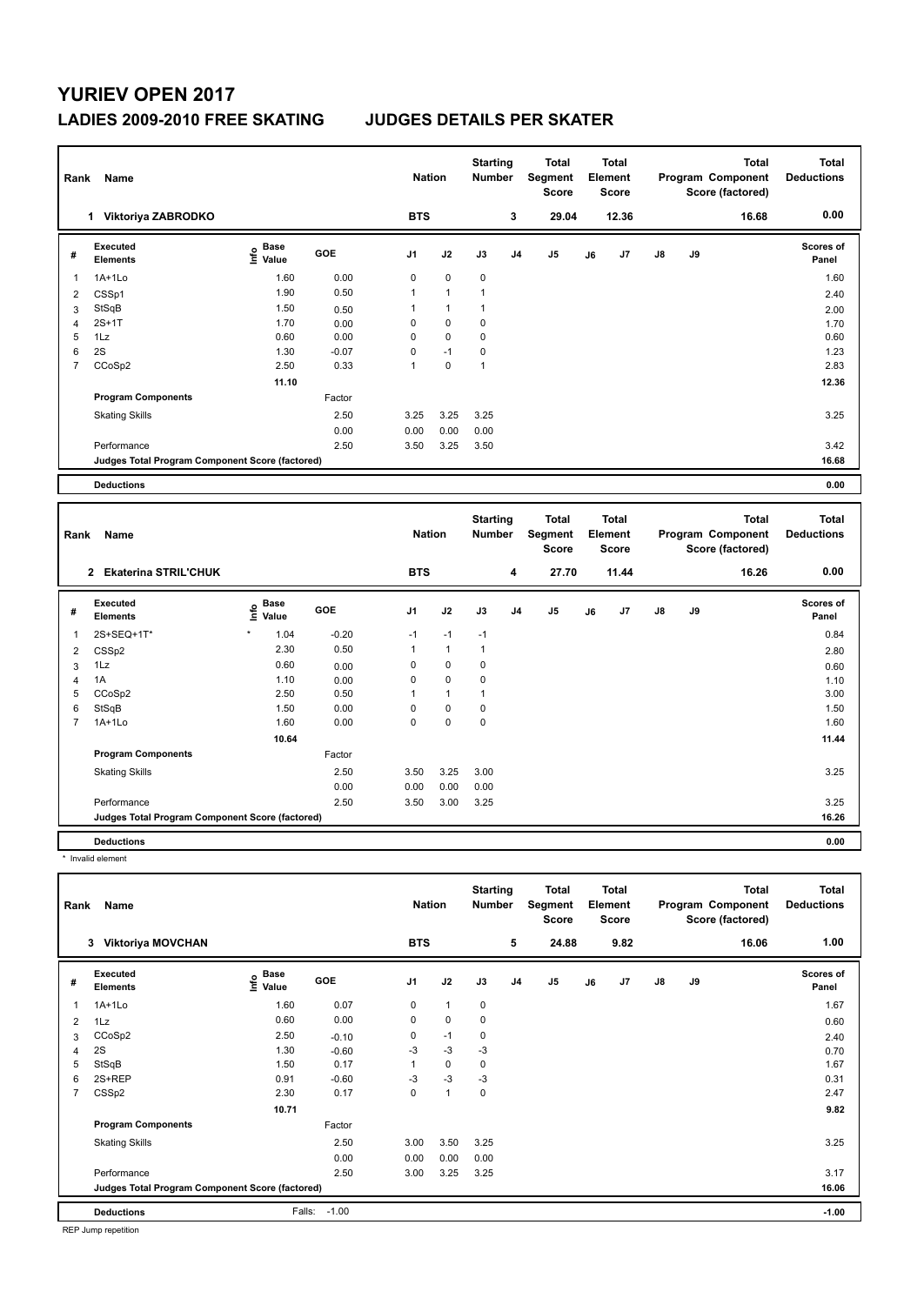## **YURIEV OPEN 2017 LADIES 2009-2010 FREE SKATING JUDGES DETAILS PER SKATER**

| Rank           | Name                                            |                            |         | <b>Nation</b>  |              | <b>Starting</b><br><b>Number</b> |                | <b>Total</b><br>Segment<br><b>Score</b> |    | <b>Total</b><br>Element<br><b>Score</b> |    |    | <b>Total</b><br>Program Component<br>Score (factored) | <b>Total</b><br><b>Deductions</b> |
|----------------|-------------------------------------------------|----------------------------|---------|----------------|--------------|----------------------------------|----------------|-----------------------------------------|----|-----------------------------------------|----|----|-------------------------------------------------------|-----------------------------------|
|                | 1 Viktoriya ZABRODKO                            |                            |         | <b>BTS</b>     |              |                                  | 3              | 29.04                                   |    | 12.36                                   |    |    | 16.68                                                 | 0.00                              |
| #              | <b>Executed</b><br><b>Elements</b>              | <b>Base</b><br>۴۵<br>Value | GOE     | J <sub>1</sub> | J2           | J3                               | J <sub>4</sub> | J <sub>5</sub>                          | J6 | J <sub>7</sub>                          | J8 | J9 |                                                       | Scores of<br>Panel                |
| 1              | $1A+1Lo$                                        | 1.60                       | 0.00    | $\mathbf 0$    | $\mathbf 0$  | $\mathbf 0$                      |                |                                         |    |                                         |    |    |                                                       | 1.60                              |
| $\overline{2}$ | CSSp1                                           | 1.90                       | 0.50    | $\mathbf{1}$   | $\mathbf{1}$ | $\mathbf{1}$                     |                |                                         |    |                                         |    |    |                                                       | 2.40                              |
| 3              | StSqB                                           | 1.50                       | 0.50    | $\mathbf{1}$   | $\mathbf{1}$ | $\mathbf{1}$                     |                |                                         |    |                                         |    |    |                                                       | 2.00                              |
| $\overline{4}$ | $2S+1T$                                         | 1.70                       | 0.00    | $\mathbf 0$    | 0            | 0                                |                |                                         |    |                                         |    |    |                                                       | 1.70                              |
| 5              | 1Lz                                             | 0.60                       | 0.00    | $\mathbf 0$    | 0            | 0                                |                |                                         |    |                                         |    |    |                                                       | 0.60                              |
| 6              | 2S                                              | 1.30                       | $-0.07$ | $\mathbf 0$    | $-1$         | 0                                |                |                                         |    |                                         |    |    |                                                       | 1.23                              |
| $\overline{7}$ | CCoSp2                                          | 2.50                       | 0.33    | $\mathbf{1}$   | 0            | $\mathbf{1}$                     |                |                                         |    |                                         |    |    |                                                       | 2.83                              |
|                |                                                 | 11.10                      |         |                |              |                                  |                |                                         |    |                                         |    |    |                                                       | 12.36                             |
|                | <b>Program Components</b>                       |                            | Factor  |                |              |                                  |                |                                         |    |                                         |    |    |                                                       |                                   |
|                | <b>Skating Skills</b>                           |                            | 2.50    | 3.25           | 3.25         | 3.25                             |                |                                         |    |                                         |    |    |                                                       | 3.25                              |
|                |                                                 |                            | 0.00    | 0.00           | 0.00         | 0.00                             |                |                                         |    |                                         |    |    |                                                       |                                   |
|                | Performance                                     |                            | 2.50    | 3.50           | 3.25         | 3.50                             |                |                                         |    |                                         |    |    |                                                       | 3.42                              |
|                | Judges Total Program Component Score (factored) |                            |         |                |              |                                  |                |                                         |    |                                         |    |    |                                                       | 16.68                             |
|                |                                                 |                            |         |                |              |                                  |                |                                         |    |                                         |    |    |                                                       |                                   |
|                | <b>Deductions</b>                               |                            |         |                |              |                                  |                |                                         |    |                                         |    |    |                                                       | 0.00                              |
|                | Name<br>Rank                                    |                            |         | <b>Nation</b>  |              | <b>Starting</b><br><b>Number</b> |                | <b>Total</b><br>Segment<br><b>Score</b> |    | <b>Total</b><br>Element<br><b>Score</b> |    |    | <b>Total</b><br>Program Component<br>Score (factored) | <b>Total</b><br><b>Deductions</b> |
|                | 2 Ekaterina STRIL'CHUK                          |                            |         | <b>BTS</b>     |              |                                  | 4              | 27.70                                   |    | 11.44                                   |    |    | 16.26                                                 | 0.00                              |
| #              | <b>Executed</b><br><b>Elements</b>              | e Base<br>E Value<br>Value | GOE     | J <sub>1</sub> | J2           | J3                               | J4             | J <sub>5</sub>                          | J6 | J7                                      | J8 | J9 |                                                       | Scores of<br>Panel                |
| 1              | 2S+SEQ+1T*                                      | 1.04                       | $-0.20$ | $-1$           | $-1$         | $-1$                             |                |                                         |    |                                         |    |    |                                                       | 0.84                              |
| $\overline{c}$ | CSSp2                                           | 2.30                       | 0.50    | $\mathbf{1}$   | $\mathbf{1}$ | $\mathbf{1}$                     |                |                                         |    |                                         |    |    |                                                       | 2.80                              |
| 3              | 1Lz                                             | 0.60                       | 0.00    | $\mathbf 0$    | 0            | 0                                |                |                                         |    |                                         |    |    |                                                       | 0.60                              |
| $\overline{4}$ | 1A                                              | 1.10                       | 0.00    | $\mathbf 0$    | $\mathbf 0$  | $\mathbf 0$                      |                |                                         |    |                                         |    |    |                                                       | 1.10                              |
| 5              | CCoSp2                                          | 2.50                       | 0.50    | $\mathbf{1}$   | $\mathbf{1}$ | $\mathbf{1}$                     |                |                                         |    |                                         |    |    |                                                       | 3.00                              |
| 6              | StSqB                                           | 1.50                       | 0.00    | $\mathbf 0$    | $\mathbf 0$  | $\mathbf 0$                      |                |                                         |    |                                         |    |    |                                                       | 1.50                              |
| $\overline{7}$ | $1A+1Lo$                                        | 1.60                       | 0.00    | $\mathbf 0$    | $\mathbf 0$  | $\mathbf 0$                      |                |                                         |    |                                         |    |    |                                                       | 1.60                              |
|                |                                                 | 10.64                      |         |                |              |                                  |                |                                         |    |                                         |    |    |                                                       | 11.44                             |
|                | <b>Program Components</b>                       |                            | Factor  |                |              |                                  |                |                                         |    |                                         |    |    |                                                       |                                   |

**Judges Total Program Component Score (factored) 16.26**

**Deductions 0.00**

\* Invalid element

| Name<br>Rank                                    |                               |                             |            |                | <b>Nation</b>  |             | <b>Starting</b><br>Number | <b>Total</b><br>Segment<br><b>Score</b> | <b>Total</b><br>Element<br><b>Score</b> |       | <b>Total</b><br>Program Component<br>Score (factored) |    | <b>Total</b><br><b>Deductions</b> |                           |
|-------------------------------------------------|-------------------------------|-----------------------------|------------|----------------|----------------|-------------|---------------------------|-----------------------------------------|-----------------------------------------|-------|-------------------------------------------------------|----|-----------------------------------|---------------------------|
|                                                 | <b>Viktoriya MOVCHAN</b><br>3 |                             |            | <b>BTS</b>     |                |             | 5                         | 24.88                                   |                                         | 9.82  |                                                       |    | 16.06                             | 1.00                      |
| #                                               | Executed<br><b>Elements</b>   | Base<br>$\frac{6}{5}$ Value | <b>GOE</b> | J <sub>1</sub> | J2             | J3          | J4                        | J <sub>5</sub>                          | J6                                      | J7    | $\mathsf{J}8$                                         | J9 |                                   | <b>Scores of</b><br>Panel |
| 1                                               | $1A+1Lo$                      | 1.60                        | 0.07       | 0              | $\overline{1}$ | $\mathbf 0$ |                           |                                         |                                         |       |                                                       |    |                                   | 1.67                      |
| 2                                               | 1Lz                           | 0.60                        | 0.00       | $\mathbf 0$    | $\mathbf 0$    | 0           |                           |                                         |                                         |       |                                                       |    |                                   | 0.60                      |
| 3                                               | CCoSp2                        | 2.50                        | $-0.10$    | 0              | $-1$           | 0           |                           |                                         |                                         |       |                                                       |    |                                   | 2.40                      |
| $\overline{4}$                                  | 2S                            | 1.30                        | $-0.60$    | -3             | $-3$           | -3          |                           |                                         |                                         |       |                                                       |    |                                   | 0.70                      |
| 5                                               | StSqB                         | 1.50                        | 0.17       |                | 0              | 0           |                           |                                         |                                         |       |                                                       |    |                                   | 1.67                      |
| 6                                               | 2S+REP                        | 0.91                        | $-0.60$    | $-3$           | $-3$           | $-3$        |                           |                                         |                                         |       |                                                       |    |                                   | 0.31                      |
| 7                                               | CSS <sub>p2</sub>             | 2.30                        | 0.17       | 0              | $\mathbf{1}$   | $\pmb{0}$   |                           |                                         |                                         |       |                                                       |    |                                   | 2.47                      |
|                                                 |                               | 10.71                       |            |                |                |             |                           |                                         |                                         |       |                                                       |    |                                   | 9.82                      |
|                                                 | <b>Program Components</b>     |                             | Factor     |                |                |             |                           |                                         |                                         |       |                                                       |    |                                   |                           |
|                                                 | <b>Skating Skills</b>         |                             | 2.50       | 3.00           | 3.50           | 3.25        |                           |                                         |                                         |       |                                                       |    |                                   | 3.25                      |
|                                                 |                               |                             | 0.00       | 0.00           | 0.00           | 0.00        |                           |                                         |                                         |       |                                                       |    |                                   |                           |
|                                                 | Performance                   |                             | 2.50       | 3.00           | 3.25           | 3.25        |                           |                                         |                                         |       |                                                       |    |                                   | 3.17                      |
| Judges Total Program Component Score (factored) |                               |                             |            |                |                |             |                           |                                         |                                         | 16.06 |                                                       |    |                                   |                           |
|                                                 | <b>Deductions</b>             | Falls:                      | $-1.00$    |                |                |             |                           |                                         |                                         |       |                                                       |    |                                   | $-1.00$                   |

Skating Skills 3.25 3.25 3.00

Performance 2.50 3.50 3.00 3.25 3.25

0.00 0.00 0.00 0.00<br>2.50 3.50 3.00 3.25

REP Jump repetition